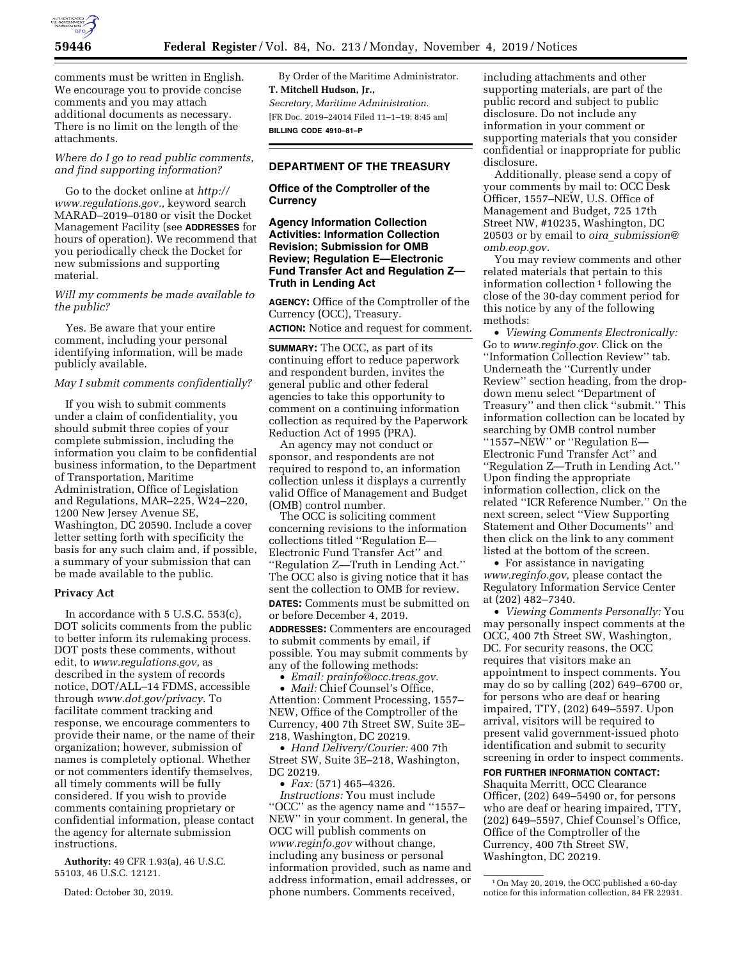

comments must be written in English. We encourage you to provide concise comments and you may attach additional documents as necessary. There is no limit on the length of the attachments.

*Where do I go to read public comments, and find supporting information?* 

Go to the docket online at *[http://](http://www.regulations.gov) [www.regulations.gov.,](http://www.regulations.gov)* keyword search MARAD–2019–0180 or visit the Docket Management Facility (see **ADDRESSES** for hours of operation). We recommend that you periodically check the Docket for new submissions and supporting material.

## *Will my comments be made available to the public?*

Yes. Be aware that your entire comment, including your personal identifying information, will be made publicly available.

### *May I submit comments confidentially?*

If you wish to submit comments under a claim of confidentiality, you should submit three copies of your complete submission, including the information you claim to be confidential business information, to the Department of Transportation, Maritime Administration, Office of Legislation and Regulations, MAR–225, W24–220, 1200 New Jersey Avenue SE, Washington, DC 20590. Include a cover letter setting forth with specificity the basis for any such claim and, if possible, a summary of your submission that can be made available to the public.

#### **Privacy Act**

In accordance with 5 U.S.C. 553(c), DOT solicits comments from the public to better inform its rulemaking process. DOT posts these comments, without edit, to *[www.regulations.gov,](http://www.regulations.gov)* as described in the system of records notice, DOT/ALL–14 FDMS, accessible through *[www.dot.gov/privacy.](http://www.dot.gov/privacy)* To facilitate comment tracking and response, we encourage commenters to provide their name, or the name of their organization; however, submission of names is completely optional. Whether or not commenters identify themselves, all timely comments will be fully considered. If you wish to provide comments containing proprietary or confidential information, please contact the agency for alternate submission instructions.

**Authority:** 49 CFR 1.93(a), 46 U.S.C. 55103, 46 U.S.C. 12121.

Dated: October 30, 2019.

By Order of the Maritime Administrator. **T. Mitchell Hudson, Jr.,**  *Secretary, Maritime Administration.*  [FR Doc. 2019–24014 Filed 11–1–19; 8:45 am] **BILLING CODE 4910–81–P** 

# **DEPARTMENT OF THE TREASURY**

## **Office of the Comptroller of the Currency**

**Agency Information Collection Activities: Information Collection Revision; Submission for OMB Review; Regulation E—Electronic Fund Transfer Act and Regulation Z— Truth in Lending Act** 

**AGENCY:** Office of the Comptroller of the Currency (OCC), Treasury. **ACTION:** Notice and request for comment.

**SUMMARY:** The OCC, as part of its continuing effort to reduce paperwork and respondent burden, invites the general public and other federal agencies to take this opportunity to comment on a continuing information collection as required by the Paperwork Reduction Act of 1995 (PRA).

An agency may not conduct or sponsor, and respondents are not required to respond to, an information collection unless it displays a currently valid Office of Management and Budget (OMB) control number.

The OCC is soliciting comment concerning revisions to the information collections titled ''Regulation E— Electronic Fund Transfer Act'' and ''Regulation Z—Truth in Lending Act.'' The OCC also is giving notice that it has sent the collection to OMB for review. **DATES:** Comments must be submitted on or before December 4, 2019.

**ADDRESSES:** Commenters are encouraged to submit comments by email, if possible. You may submit comments by any of the following methods:

• *Email: [prainfo@occ.treas.gov.](mailto:prainfo@occ.treas.gov)*  • *Mail:* Chief Counsel's Office, Attention: Comment Processing, 1557– NEW, Office of the Comptroller of the Currency, 400 7th Street SW, Suite 3E– 218, Washington, DC 20219.

• *Hand Delivery/Courier:* 400 7th Street SW, Suite 3E–218, Washington, DC 20219.

• *Fax:* (571) 465–4326. *Instructions:* You must include ''OCC'' as the agency name and ''1557– NEW'' in your comment. In general, the OCC will publish comments on *[www.reginfo.gov](http://www.reginfo.gov)* without change, including any business or personal information provided, such as name and address information, email addresses, or phone numbers. Comments received,

including attachments and other supporting materials, are part of the public record and subject to public disclosure. Do not include any information in your comment or supporting materials that you consider confidential or inappropriate for public disclosure.

Additionally, please send a copy of your comments by mail to: OCC Desk Officer, 1557–NEW, U.S. Office of Management and Budget, 725 17th Street NW, #10235, Washington, DC 20503 or by email to *oira*\_*[submission@](mailto:oira_submission@omb.eop.gov) [omb.eop.gov.](mailto:oira_submission@omb.eop.gov)* 

You may review comments and other related materials that pertain to this information collection  $\frac{1}{1}$  following the close of the 30-day comment period for this notice by any of the following methods:

• *Viewing Comments Electronically:*  Go to *[www.reginfo.gov.](http://www.reginfo.gov)* Click on the ''Information Collection Review'' tab. Underneath the ''Currently under Review'' section heading, from the dropdown menu select ''Department of Treasury'' and then click ''submit.'' This information collection can be located by searching by OMB control number ''1557–NEW'' or ''Regulation E— Electronic Fund Transfer Act'' and ''Regulation Z—Truth in Lending Act.'' Upon finding the appropriate information collection, click on the related ''ICR Reference Number.'' On the next screen, select ''View Supporting Statement and Other Documents'' and then click on the link to any comment listed at the bottom of the screen.

• For assistance in navigating *[www.reginfo.gov,](http://www.reginfo.gov)* please contact the Regulatory Information Service Center at (202) 482–7340.

• *Viewing Comments Personally:* You may personally inspect comments at the OCC, 400 7th Street SW, Washington, DC. For security reasons, the OCC requires that visitors make an appointment to inspect comments. You may do so by calling (202) 649–6700 or, for persons who are deaf or hearing impaired, TTY, (202) 649–5597. Upon arrival, visitors will be required to present valid government-issued photo identification and submit to security screening in order to inspect comments.

# **FOR FURTHER INFORMATION CONTACT:**

Shaquita Merritt, OCC Clearance Officer, (202) 649–5490 or, for persons who are deaf or hearing impaired, TTY, (202) 649–5597, Chief Counsel's Office, Office of the Comptroller of the Currency, 400 7th Street SW, Washington, DC 20219.

<sup>1</sup>On May 20, 2019, the OCC published a 60-day notice for this information collection, 84 FR 22931.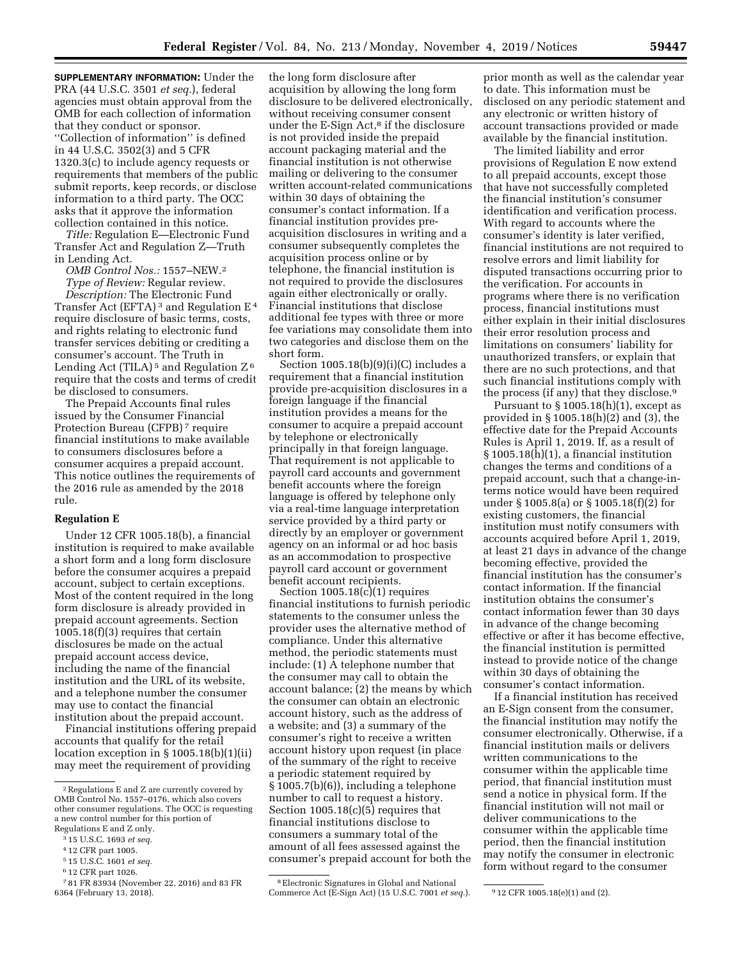**SUPPLEMENTARY INFORMATION:** Under the PRA (44 U.S.C. 3501 *et seq.*), federal agencies must obtain approval from the OMB for each collection of information that they conduct or sponsor. ''Collection of information'' is defined in 44 U.S.C. 3502(3) and 5 CFR 1320.3(c) to include agency requests or requirements that members of the public submit reports, keep records, or disclose information to a third party. The OCC asks that it approve the information collection contained in this notice.

*Title:* Regulation E—Electronic Fund Transfer Act and Regulation Z—Truth in Lending Act.

*OMB Control Nos.:* 1557–NEW.2 *Type of Review:* Regular review.

*Description:* The Electronic Fund Transfer Act (EFTA) 3 and Regulation E 4 require disclosure of basic terms, costs, and rights relating to electronic fund transfer services debiting or crediting a consumer's account. The Truth in Lending Act (TILA)<sup>5</sup> and Regulation  $Z^6$ require that the costs and terms of credit be disclosed to consumers.

The Prepaid Accounts final rules issued by the Consumer Financial Protection Bureau (CFPB) 7 require financial institutions to make available to consumers disclosures before a consumer acquires a prepaid account. This notice outlines the requirements of the 2016 rule as amended by the 2018 rule.

### **Regulation E**

Under 12 CFR 1005.18(b), a financial institution is required to make available a short form and a long form disclosure before the consumer acquires a prepaid account, subject to certain exceptions. Most of the content required in the long form disclosure is already provided in prepaid account agreements. Section 1005.18(f)(3) requires that certain disclosures be made on the actual prepaid account access device, including the name of the financial institution and the URL of its website, and a telephone number the consumer may use to contact the financial institution about the prepaid account.

Financial institutions offering prepaid accounts that qualify for the retail location exception in § 1005.18(b)(1)(ii) may meet the requirement of providing

the long form disclosure after acquisition by allowing the long form disclosure to be delivered electronically, without receiving consumer consent under the E-Sign Act,<sup>8</sup> if the disclosure is not provided inside the prepaid account packaging material and the financial institution is not otherwise mailing or delivering to the consumer written account-related communications within 30 days of obtaining the consumer's contact information. If a financial institution provides preacquisition disclosures in writing and a consumer subsequently completes the acquisition process online or by telephone, the financial institution is not required to provide the disclosures again either electronically or orally. Financial institutions that disclose additional fee types with three or more fee variations may consolidate them into two categories and disclose them on the short form.

Section  $1005.18(b)(9)(i)(C)$  includes a requirement that a financial institution provide pre-acquisition disclosures in a foreign language if the financial institution provides a means for the consumer to acquire a prepaid account by telephone or electronically principally in that foreign language. That requirement is not applicable to payroll card accounts and government benefit accounts where the foreign language is offered by telephone only via a real-time language interpretation service provided by a third party or directly by an employer or government agency on an informal or ad hoc basis as an accommodation to prospective payroll card account or government benefit account recipients.

Section  $1005.18(c)(1)$  requires financial institutions to furnish periodic statements to the consumer unless the provider uses the alternative method of compliance. Under this alternative method, the periodic statements must include: (1) A telephone number that the consumer may call to obtain the account balance; (2) the means by which the consumer can obtain an electronic account history, such as the address of a website; and (3) a summary of the consumer's right to receive a written account history upon request (in place of the summary of the right to receive a periodic statement required by § 1005.7(b)(6)), including a telephone number to call to request a history. Section 1005.18(c)(5) requires that financial institutions disclose to consumers a summary total of the amount of all fees assessed against the consumer's prepaid account for both the

8Electronic Signatures in Global and National Commerce Act (E-Sign Act) (15 U.S.C. 7001 *et seq.*). 912 CFR 1005.18(e)(1) and (2).

prior month as well as the calendar year to date. This information must be disclosed on any periodic statement and any electronic or written history of account transactions provided or made available by the financial institution.

The limited liability and error provisions of Regulation E now extend to all prepaid accounts, except those that have not successfully completed the financial institution's consumer identification and verification process. With regard to accounts where the consumer's identity is later verified, financial institutions are not required to resolve errors and limit liability for disputed transactions occurring prior to the verification. For accounts in programs where there is no verification process, financial institutions must either explain in their initial disclosures their error resolution process and limitations on consumers' liability for unauthorized transfers, or explain that there are no such protections, and that such financial institutions comply with the process (if any) that they disclose.9

Pursuant to  $\S 1005.18(h)(1)$ , except as provided in § 1005.18(h)(2) and (3), the effective date for the Prepaid Accounts Rules is April 1, 2019. If, as a result of § 1005.18(h)(1), a financial institution changes the terms and conditions of a prepaid account, such that a change-interms notice would have been required under § 1005.8(a) or § 1005.18(f)(2) for existing customers, the financial institution must notify consumers with accounts acquired before April 1, 2019, at least 21 days in advance of the change becoming effective, provided the financial institution has the consumer's contact information. If the financial institution obtains the consumer's contact information fewer than 30 days in advance of the change becoming effective or after it has become effective, the financial institution is permitted instead to provide notice of the change within 30 days of obtaining the consumer's contact information.

If a financial institution has received an E-Sign consent from the consumer, the financial institution may notify the consumer electronically. Otherwise, if a financial institution mails or delivers written communications to the consumer within the applicable time period, that financial institution must send a notice in physical form. If the financial institution will not mail or deliver communications to the consumer within the applicable time period, then the financial institution may notify the consumer in electronic form without regard to the consumer

<sup>2</sup>Regulations E and Z are currently covered by OMB Control No. 1557–0176, which also covers other consumer regulations. The OCC is requesting a new control number for this portion of Regulations E and Z only.

<sup>3</sup> 15 U.S.C. 1693 *et seq.* 

<sup>4</sup> 12 CFR part 1005.

<sup>5</sup> 15 U.S.C. 1601 *et seq.* 

<sup>6</sup> 12 CFR part 1026.

<sup>7</sup> 81 FR 83934 (November 22, 2016) and 83 FR 6364 (February 13, 2018).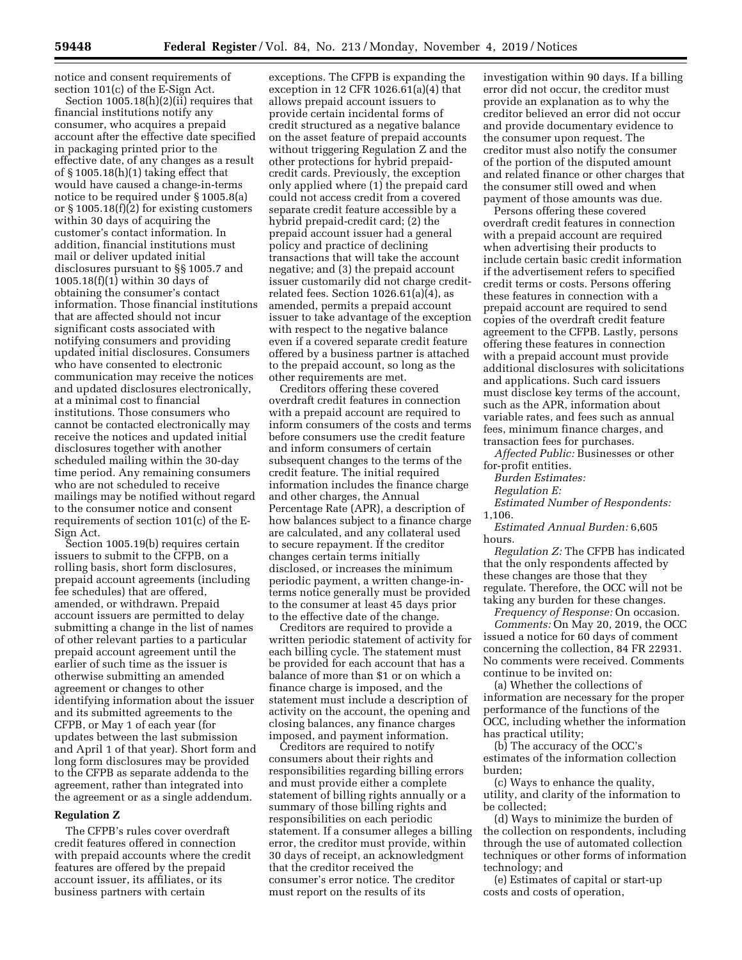notice and consent requirements of section 101(c) of the E-Sign Act.

Section 1005.18(h)(2)(ii) requires that financial institutions notify any consumer, who acquires a prepaid account after the effective date specified in packaging printed prior to the effective date, of any changes as a result of § 1005.18(h)(1) taking effect that would have caused a change-in-terms notice to be required under § 1005.8(a) or § 1005.18(f)(2) for existing customers within 30 days of acquiring the customer's contact information. In addition, financial institutions must mail or deliver updated initial disclosures pursuant to §§ 1005.7 and 1005.18(f)(1) within 30 days of obtaining the consumer's contact information. Those financial institutions that are affected should not incur significant costs associated with notifying consumers and providing updated initial disclosures. Consumers who have consented to electronic communication may receive the notices and updated disclosures electronically, at a minimal cost to financial institutions. Those consumers who cannot be contacted electronically may receive the notices and updated initial disclosures together with another scheduled mailing within the 30-day time period. Any remaining consumers who are not scheduled to receive mailings may be notified without regard to the consumer notice and consent requirements of section 101(c) of the E-Sign Act.

Section 1005.19(b) requires certain issuers to submit to the CFPB, on a rolling basis, short form disclosures, prepaid account agreements (including fee schedules) that are offered, amended, or withdrawn. Prepaid account issuers are permitted to delay submitting a change in the list of names of other relevant parties to a particular prepaid account agreement until the earlier of such time as the issuer is otherwise submitting an amended agreement or changes to other identifying information about the issuer and its submitted agreements to the CFPB, or May 1 of each year (for updates between the last submission and April 1 of that year). Short form and long form disclosures may be provided to the CFPB as separate addenda to the agreement, rather than integrated into the agreement or as a single addendum.

#### **Regulation Z**

The CFPB's rules cover overdraft credit features offered in connection with prepaid accounts where the credit features are offered by the prepaid account issuer, its affiliates, or its business partners with certain

exceptions. The CFPB is expanding the exception in 12 CFR 1026.61(a)(4) that allows prepaid account issuers to provide certain incidental forms of credit structured as a negative balance on the asset feature of prepaid accounts without triggering Regulation Z and the other protections for hybrid prepaidcredit cards. Previously, the exception only applied where (1) the prepaid card could not access credit from a covered separate credit feature accessible by a hybrid prepaid-credit card; (2) the prepaid account issuer had a general policy and practice of declining transactions that will take the account negative; and (3) the prepaid account issuer customarily did not charge creditrelated fees. Section 1026.61(a)(4), as amended, permits a prepaid account issuer to take advantage of the exception with respect to the negative balance even if a covered separate credit feature offered by a business partner is attached to the prepaid account, so long as the other requirements are met.

Creditors offering these covered overdraft credit features in connection with a prepaid account are required to inform consumers of the costs and terms before consumers use the credit feature and inform consumers of certain subsequent changes to the terms of the credit feature. The initial required information includes the finance charge and other charges, the Annual Percentage Rate (APR), a description of how balances subject to a finance charge are calculated, and any collateral used to secure repayment. If the creditor changes certain terms initially disclosed, or increases the minimum periodic payment, a written change-interms notice generally must be provided to the consumer at least 45 days prior to the effective date of the change.

Creditors are required to provide a written periodic statement of activity for each billing cycle. The statement must be provided for each account that has a balance of more than \$1 or on which a finance charge is imposed, and the statement must include a description of activity on the account, the opening and closing balances, any finance charges imposed, and payment information.

Creditors are required to notify consumers about their rights and responsibilities regarding billing errors and must provide either a complete statement of billing rights annually or a summary of those billing rights and responsibilities on each periodic statement. If a consumer alleges a billing error, the creditor must provide, within 30 days of receipt, an acknowledgment that the creditor received the consumer's error notice. The creditor must report on the results of its

investigation within 90 days. If a billing error did not occur, the creditor must provide an explanation as to why the creditor believed an error did not occur and provide documentary evidence to the consumer upon request. The creditor must also notify the consumer of the portion of the disputed amount and related finance or other charges that the consumer still owed and when payment of those amounts was due.

Persons offering these covered overdraft credit features in connection with a prepaid account are required when advertising their products to include certain basic credit information if the advertisement refers to specified credit terms or costs. Persons offering these features in connection with a prepaid account are required to send copies of the overdraft credit feature agreement to the CFPB. Lastly, persons offering these features in connection with a prepaid account must provide additional disclosures with solicitations and applications. Such card issuers must disclose key terms of the account, such as the APR, information about variable rates, and fees such as annual fees, minimum finance charges, and transaction fees for purchases.

*Affected Public:* Businesses or other for-profit entities.

*Burden Estimates:* 

*Regulation E:* 

*Estimated Number of Respondents:*  1,106.

*Estimated Annual Burden:* 6,605 hours.

*Regulation Z:* The CFPB has indicated that the only respondents affected by these changes are those that they regulate. Therefore, the OCC will not be taking any burden for these changes.

*Frequency of Response:* On occasion. *Comments:* On May 20, 2019, the OCC issued a notice for 60 days of comment concerning the collection, 84 FR 22931. No comments were received. Comments continue to be invited on:

(a) Whether the collections of information are necessary for the proper performance of the functions of the OCC, including whether the information has practical utility;

(b) The accuracy of the OCC's estimates of the information collection burden;

(c) Ways to enhance the quality, utility, and clarity of the information to be collected;

(d) Ways to minimize the burden of the collection on respondents, including through the use of automated collection techniques or other forms of information technology; and

(e) Estimates of capital or start-up costs and costs of operation,